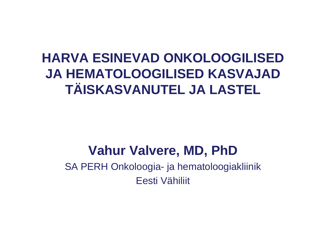# **HARVA ESINEVAD ONKOLOOGILISED JA HEMATOLOOGILISED KASVAJAD TÄISKASVANUTEL JA LASTEL**

# **Vahur Valvere, MD, PhD**

 SA PERH Onkoloogia- ja hematoloogiakliinikEesti Vähiliit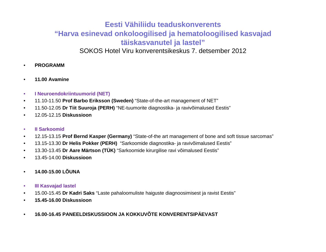#### **Eesti Vähiliidu teaduskonverents "Harva esinevad onkoloogilised ja hematoloogilised kasvajad täiskasvanutel ja lastel"**

SOKOS Hotel Viru konverentsikeskus 7. detsember 2012

- •**PROGRAMM**
- •**11.00 Avamine**
- $\bullet$ **I Neuroendokriintuumorid (NET)**
- •11.10-11.50 **Prof Barbo Eriksson (Sweden)** "State-of-the-art management of NET"
- $\bullet$ 11.50-12.05 **Dr Tiit Suuroja (PERH)** "NE-tuumorite diagnostika- ja ravivõimalused Eestis"
- $\bullet$ 12.05-12.15 **Diskussioon**
- •**II Sarkoomid**
- $\bullet$ 12.15-13.15 **Prof Bernd Kasper (Germany)** "State-of-the art management of bone and soft tissue sarcomas"
- •13.15-13.30 **Dr Helis Pokker (PERH)** "Sarkoomide diagnostika- ja ravivõimalused Eestis"
- $\bullet$ 13.30-13.45 **Dr Aare Märtson (TÜK)** "Sarkoomide kirurgilise ravi võimalused Eestis"
- $\bullet$ 13.45-14.00 **Diskussioon**
- •**14.00-15.00 LÕUNA**
- •**III Kasvajad lastel**
- •15.00-15.45 **Dr Kadri Saks** "Laste pahaloomuliste haiguste diagnoosimisest ja ravist Eestis"
- •**15.45-16.00 Diskussioon**
- •**16.00-16.45 PANEELDISKUSSIOON JA KOKKUVÕTE KONVERENTSIPÄEVAST**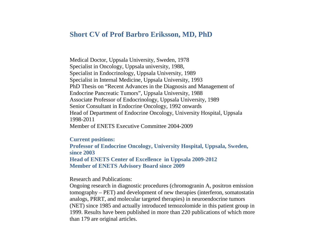#### **Short CV of Prof Barbro Eriksson, MD, PhD**

Medical Doctor, Uppsala University, Sweden, 1978 Specialist in Oncology, Uppsala university, 1988, Specialist in Endocrinology, Uppsala University, 1989 Specialist in Internal Medicine, Uppsala University, 1993 PhD Thesis on "Recent Advances in the Diagnosis and Management of Endocrine Pancreatic Tumors", Uppsala University, 1988 Associate Professor of Endocrinology, Uppsala University, 1989 Senior Consultant in Endocrine Oncology, 1992 onwards Head of Department of Endocrine Oncology, University Hospital, Uppsala 1998-2011 Member of ENETS Executive Committee 2004-2009

#### **Current positions:**

 **Professor of Endocrine Oncology, University Hospital, Uppsala, Sweden, since 2003 Head of ENETS Center of Excellence in Uppsala 2009-2012 Member of ENETS Advisory Board since 2009** 

Research and Publications:

Ongoing research in diagnostic procedures (chromogranin A, positron emission tomography – PET) and development of new therapies (interferon, somatostatin analogs, PRRT, and molecular targeted therapies) in neuroendocrine tumors (NET) since 1985 and actually introduced temozolomide in this patient group in 1999. Results have been published in more than 220 publications of which more than 179 are original articles.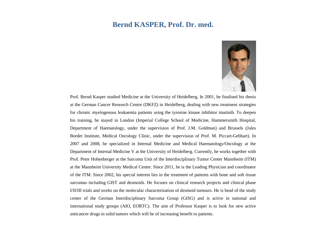#### **Bernd KASPER, Prof. Dr. med.**



Prof. Bernd Kasper studied Medicine at the University of Heidelberg. In 2001, he finalised his thesis at the German Cancer Research Centre (DKFZ) in Heidelberg, dealing with new treatment strategies for chronic myelogenous leukaemia patients using the tyrosine kinase inhibitor imatinib. To deepen his training, he stayed in London (Imperial College School of Medicine, Hammersmith Hospital, Department of Haematology, under the supervision of Prof. J.M. Goldman) and Brussels (Jules Bordet Institute, Medical Oncology Clinic, under the supervision of Prof. M. Piccart-Gebhart). In 2007 and 2008, he specialized in Internal Medicine and Medical Haematology/Oncology at the Department of Internal Medicine V at the University of Heidelberg. Currently, he works together with Prof. Peter Hohenberger at the Sarcoma Unit of the Interdisciplinary Tumor Center Mannheim (ITM) at the Mannheim University Medical Center. Since 2011, he is the Leading Physician and coordinator of the ITM. Since 2002, his special interest lies in the treatment of patients with bone and soft tissue sarcomas including GIST and desmoids. He focuses on clinical research projects and clinical phase I/II/III trials and works on the molecular characterization of desmoid tumours. He is head of the study center of the German Interdisciplinary Sarcoma Group (GISG) and is active in national and international study groups (AIO, EORTC). The aim of Professor Kasper is to look for new active anticancer drugs in solid tumors which will be of increasing benefit to patients.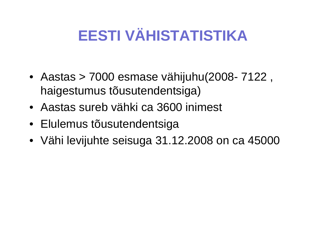# **EESTI VÄHISTATISTIKA**

- Aastas > 7000 esmase vähijuhu(2008- 7122 , haigestumus tõusutendentsiga)
- Aastas sureb vähki ca 3600 inimest
- Elulemus tõusutendentsiga
- Vähi levijuhte seisuga 31.12.2008 on ca 45000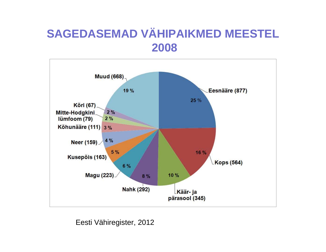### **SAGEDASEMAD VÄHIPAIKMED MEESTEL2008**



Eesti Vähiregister, 2012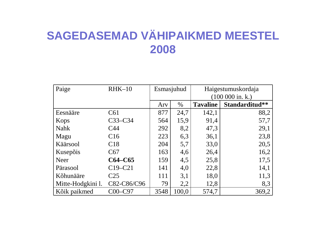# **SAGEDASEMAD VÄHIPAIKMED MEESTEL2008**

| Paige             | $RHK-10$        | Esmasjuhud |       | Haigestumuskordaja          |                |  |
|-------------------|-----------------|------------|-------|-----------------------------|----------------|--|
|                   |                 |            |       | $(100\ 000\ \text{in. k.})$ |                |  |
|                   |                 | Arv        | $\%$  | <b>Tavaline</b>             | Standarditud** |  |
| Eesnääre          | C61             | 877        | 24,7  | 142,1                       | 88,2           |  |
| Kops              | $C33-C34$       | 564        | 15,9  | 91,4                        | 57,7           |  |
| <b>Nahk</b>       | C <sub>44</sub> | 292        | 8,2   | 47,3                        | 29,1           |  |
| Magu              | C16             | 223        | 6,3   | 36,1                        | 23,8           |  |
| Käärsool          | C18             | 204        | 5,7   | 33,0                        | 20,5           |  |
| Kusepõis          | C67             | 163        | 4,6   | 26,4                        | 16,2           |  |
| <b>Neer</b>       | $C64-C65$       | 159        | 4,5   | 25,8                        | 17,5           |  |
| Pärasool          | C19-C21         | 141        | 4,0   | 22,8                        | 14,1           |  |
| Kõhunääre         | C <sub>25</sub> | 111        | 3,1   | 18,0                        | 11,3           |  |
| Mitte-Hodgkini 1. | C82-C86/C96     | 79         | 2,2   | 12,8                        | 8,3            |  |
| Kõik paikmed      | $COO$ -C97      | 3548       | 100,0 | 574,7                       | 369,2          |  |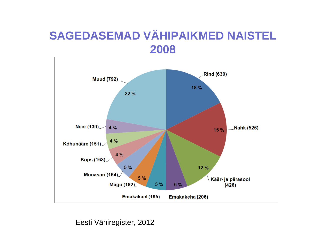### **SAGEDASEMAD VÄHIPAIKMED NAISTEL2008**



Eesti Vähiregister, 2012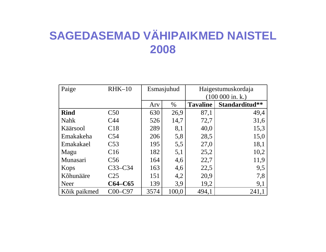# **SAGEDASEMAD VÄHIPAIKMED NAISTEL2008**

| Paige        | $RHK-10$        | Esmasjuhud |       | Haigestumuskordaja   |                |  |
|--------------|-----------------|------------|-------|----------------------|----------------|--|
|              |                 |            |       | $(100\ 000\$ in. k.) |                |  |
|              |                 | Ary        | $\%$  | <b>Tavaline</b>      | Standarditud** |  |
| <b>Rind</b>  | C50             | 630        | 26,9  | 87,1                 | 49,4           |  |
| <b>Nahk</b>  | C <sub>44</sub> | 526        | 14,7  | 72,7                 | 31,6           |  |
| Käärsool     | C18             | 289        | 8,1   | 40,0                 | 15,3           |  |
| Emakakeha    | C54             | 206        | 5,8   | 28,5                 | 15,0           |  |
| Emakakael    | C <sub>53</sub> | 195        | 5,5   | 27,0                 | 18,1           |  |
| Magu         | C16             | 182        | 5,1   | 25,2                 | 10,2           |  |
| Munasari     | C <sub>56</sub> | 164        | 4,6   | 22,7                 | 11,9           |  |
| Kops         | $C33-C34$       | 163        | 4,6   | 22,5                 | 9,5            |  |
| Kõhunääre    | C <sub>25</sub> | 151        | 4,2   | 20,9                 | 7,8            |  |
| Neer         | $C64-C65$       | 139        | 3,9   | 19,2                 | 9,1            |  |
| Kõik paikmed | $C$ 00-C97      | 3574       | 100,0 | 494,1                | 241,1          |  |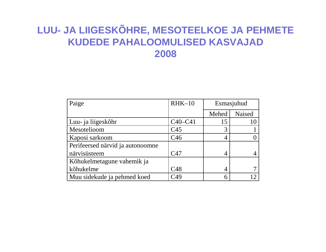#### **LUU- JA LIIGESKÕHRE, MESOTEELKOE JA PEHMETE KUDEDE PAHALOOMULISED KASVAJAD2008**

| Paige                            | $RHK-10$        | Esmasjuhud |        |
|----------------------------------|-----------------|------------|--------|
|                                  |                 | Mehed      | Naised |
| Luu- ja liigeskõhr               | $C40-C41$       | 15         |        |
| Mesotelioom                      | C <sub>45</sub> | 3          |        |
| Kaposi sarkoom                   | C <sub>46</sub> |            |        |
| Perifeersed närvid ja autonoomne |                 |            |        |
| närvisüsteem                     | C <sub>47</sub> |            |        |
| Kõhukelmetagune vahemik ja       |                 |            |        |
| kõhukelme                        | C48             | 4          |        |
| Muu sidekude ja pehmed koed      | C49             |            |        |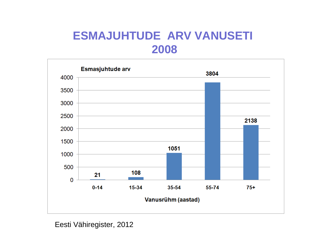### **ESMAJUHTUDE ARV VANUSETI2008**



Eesti Vähiregister, 2012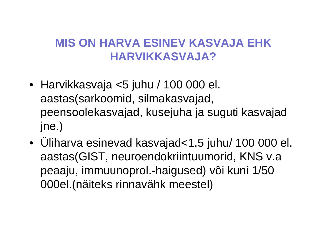### **MIS ON HARVA ESINEV KASVAJA EHK HARVIKKASVAJA?**

- Harvikkasvaja <5 juhu / 100 000 el. aastas(sarkoomid, silmakasvajad, peensoolekasvajad, kusejuha ja suguti kasvajad jne.)
- • Üliharva esinevad kasvajad<1,5 juhu/ 100 000 el. aastas(GIST, neuroendokriintuumorid, KNS v.a peaaju, immuunoprol.-haigused) või kuni 1/50 000el.(näiteks rinnavähk meestel)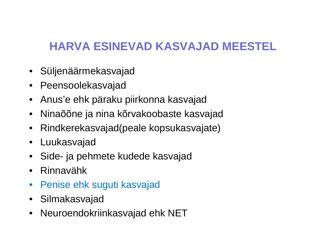## **HARVA ESINEVAD KASVAJAD MEESTEL**

- Süljenäärmekasvajad
- Peensoolekasvajad
- Anus'e ehk päraku piirkonna kasvajad
- •Ninaõõne ja nina kõrvakoobaste kasvajad
- •Rindkerekasvajad(peale kopsukasvajate)
- Luukasvajad
- Side- ja pehmete kudede kasvajad
- Rinnavähk
- $\bullet$ Penise ehk suguti kasvajad
- Silmakasvajad
- •Neuroendokriinkasvajad ehk NET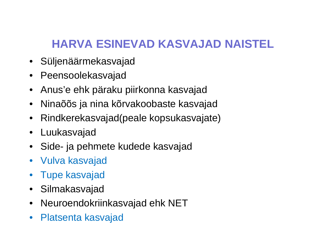# **HARVA ESINEVAD KASVAJAD NAISTEL**

- Süljenäärmekasvajad
- Peensoolekasvajad
- Anus'e ehk päraku piirkonna kasvajad
- $\bullet$ Ninaõõs ja nina kõrvakoobaste kasvajad
- $\bullet$ Rindkerekasvajad(peale kopsukasvajate)
- Luukasvajad
- Side- ja pehmete kudede kasvajad
- Vulva kasvajad
- Tupe kasvajad
- Silmakasvajad
- Neuroendokriinkasvajad ehk NET
- $\bullet$ Platsenta kasvajad